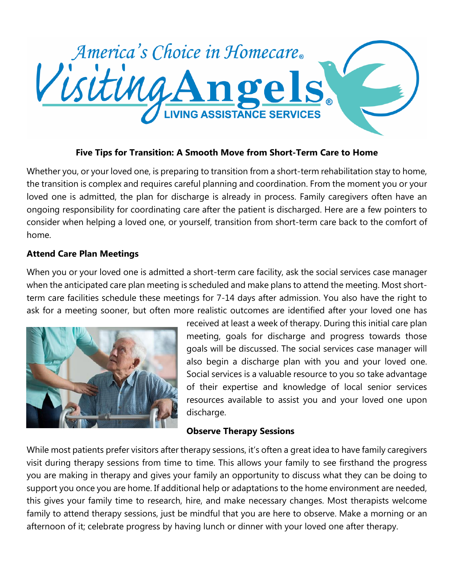

# **Five Tips for Transition: A Smooth Move from Short-Term Care to Home**

Whether you, or your loved one, is preparing to transition from a short-term rehabilitation stay to home, the transition is complex and requires careful planning and coordination. From the moment you or your loved one is admitted, the plan for discharge is already in process. Family caregivers often have an ongoing responsibility for coordinating care after the patient is discharged. Here are a few pointers to consider when helping a loved one, or yourself, transition from short-term care back to the comfort of home.

## **Attend Care Plan Meetings**

When you or your loved one is admitted a short-term care facility, ask the social services case manager when the anticipated care plan meeting is scheduled and make plans to attend the meeting. Most shortterm care facilities schedule these meetings for 7-14 days after admission. You also have the right to ask for a meeting sooner, but often more realistic outcomes are identified after your loved one has



received at least a week of therapy. During this initial care plan meeting, goals for discharge and progress towards those goals will be discussed. The social services case manager will also begin a discharge plan with you and your loved one. Social services is a valuable resource to you so take advantage of their expertise and knowledge of local senior services resources available to assist you and your loved one upon discharge.

## **Observe Therapy Sessions**

While most patients prefer visitors after therapy sessions, it's often a great idea to have family caregivers visit during therapy sessions from time to time. This allows your family to see firsthand the progress you are making in therapy and gives your family an opportunity to discuss what they can be doing to support you once you are home. If additional help or adaptations to the home environment are needed, this gives your family time to research, hire, and make necessary changes. Most therapists welcome family to attend therapy sessions, just be mindful that you are here to observe. Make a morning or an afternoon of it; celebrate progress by having lunch or dinner with your loved one after therapy.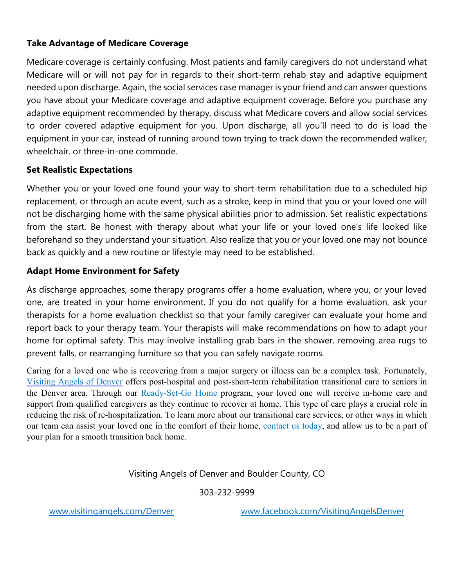## **Take Advantage of Medicare Coverage**

Medicare coverage is certainly confusing. Most patients and family caregivers do not understand what Medicare will or will not pay for in regards to their short-term rehab stay and adaptive equipment needed upon discharge. Again, the social services case manager is your friend and can answer questions you have about your Medicare coverage and adaptive equipment coverage. Before you purchase any adaptive equipment recommended by therapy, discuss what Medicare covers and allow social services to order covered adaptive equipment for you. Upon discharge, all you'll need to do is load the equipment in your car, instead of running around town trying to track down the recommended walker, wheelchair, or three-in-one commode.

# **Set Realistic Expectations**

Whether you or your loved one found your way to short-term rehabilitation due to a scheduled hip replacement, or through an acute event, such as a stroke, keep in mind that you or your loved one will not be discharging home with the same physical abilities prior to admission. Set realistic expectations from the start. Be honest with therapy about what your life or your loved one's life looked like beforehand so they understand your situation. Also realize that you or your loved one may not bounce back as quickly and a new routine or lifestyle may need to be established.

# **Adapt Home Environment for Safety**

As discharge approaches, some therapy programs offer a home evaluation, where you, or your loved one, are treated in your home environment. If you do not qualify for a home evaluation, ask your therapists for a home evaluation checklist so that your family caregiver can evaluate your home and report back to your therapy team. Your therapists will make recommendations on how to adapt your home for optimal safety. This may involve installing grab bars in the shower, removing area rugs to prevent falls, or rearranging furniture so that you can safely navigate rooms.

Caring for a loved one who is recovering from a major surgery or illness can be a complex task. Fortunately, [Visiting](http://www.visitingangels.com/denver/home) Angels of Denver offers post-hospital and post-short-term rehabilitation transitional care to seniors in the Denver area. Through our [Ready-Set-Go](http://www.visitingangels.com/denver/ready-set-go-home) Home program, your loved one will receive in-home care and support from qualified caregivers as they continue to recover at home. This type of care plays a crucial role in reducing the risk of re-hospitalization. To learn more about our transitional care services, or other ways in which our team can assist your loved one in the comfort of their home, [contact](https://www.visitingangels.com/denver/contact-us) us today, and allow us to be a part of your plan for a smooth transition back home.

## Visiting Angels of Denver and Boulder County, CO

303-232-9999

[www.visitingangels.com/Denver](http://www.visitingangels.com/Denver) www.facebook.com/VisitingAngelsDenver